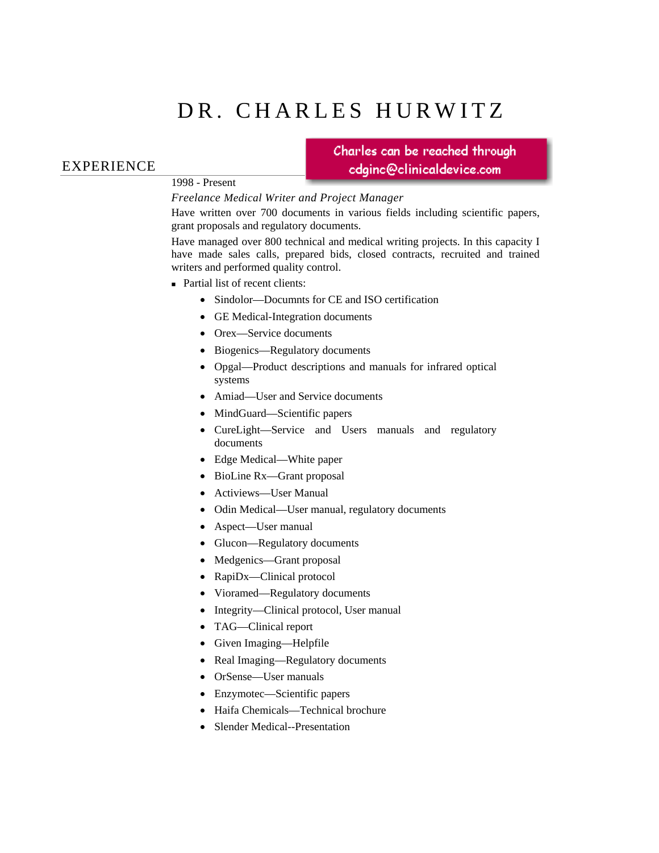# DR. CHARLES HURWITZ

### EXPERIENCE

#### 1998 - Present

Charles can be reached through cdginc@clinicaldevice.com

*Freelance Medical Writer and Project Manager* 

Have written over 700 documents in various fields including scientific papers, grant proposals and regulatory documents.

Have managed over 800 technical and medical writing projects. In this capacity I have made sales calls, prepared bids, closed contracts, recruited and trained writers and performed quality control.

■ Partial list of recent clients:

- Sindolor—Documnts for CE and ISO certification
- GE Medical-Integration documents
- Orex—Service documents
- Biogenics—Regulatory documents
- Opgal—Product descriptions and manuals for infrared optical systems
- Amiad—User and Service documents
- MindGuard—Scientific papers
- CureLight—Service and Users manuals and regulatory documents
- Edge Medical—White paper
- BioLine Rx—Grant proposal
- Activiews—User Manual
- Odin Medical—User manual, regulatory documents
- Aspect—User manual
- Glucon—Regulatory documents
- Medgenics—Grant proposal
- RapiDx—Clinical protocol
- Vioramed—Regulatory documents
- Integrity—Clinical protocol, User manual
- TAG—Clinical report
- Given Imaging—Helpfile
- Real Imaging—Regulatory documents
- OrSense—User manuals
- Enzymotec—Scientific papers
- Haifa Chemicals—Technical brochure
- Slender Medical--Presentation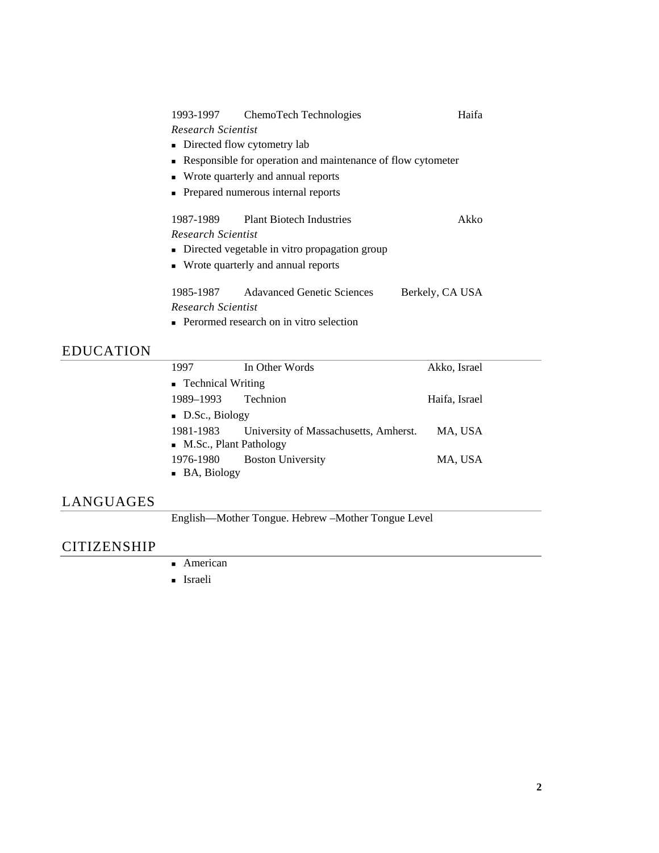| 1993-1997                                                     | ChemoTech Technologies             | Haifa           |  |
|---------------------------------------------------------------|------------------------------------|-----------------|--|
| Research Scientist                                            |                                    |                 |  |
| • Directed flow cytometry lab                                 |                                    |                 |  |
| • Responsible for operation and maintenance of flow cytometer |                                    |                 |  |
| • Wrote quarterly and annual reports                          |                                    |                 |  |
| • Prepared numerous internal reports                          |                                    |                 |  |
|                                                               | 1987-1989 Plant Biotech Industries | Akko            |  |
| Research Scientist                                            |                                    |                 |  |
| • Directed vegetable in vitro propagation group               |                                    |                 |  |
| • Wrote quarterly and annual reports                          |                                    |                 |  |
| 1985-1987                                                     | <b>Adavanced Genetic Sciences</b>  | Berkely, CA USA |  |
| Research Scientist                                            |                                    |                 |  |
|                                                               |                                    |                 |  |

**Perormed research on in vitro selection** 

# EDUCATION

| 1997                          | In Other Words                        | Akko, Israel  |  |
|-------------------------------|---------------------------------------|---------------|--|
| • Technical Writing           |                                       |               |  |
| 1989–1993                     | Technion                              | Haifa, Israel |  |
| $\blacksquare$ D.Sc., Biology |                                       |               |  |
| 1981-1983                     | University of Massachusetts, Amherst. | MA, USA       |  |
| • M.Sc., Plant Pathology      |                                       |               |  |
| 1976-1980                     | <b>Boston University</b>              | MA, USA       |  |
| • BA, Biology                 |                                       |               |  |

## LANGUAGES

English—Mother Tongue. Hebrew –Mother Tongue Level

# CITIZENSHIP

- **American**
- **Israeli**